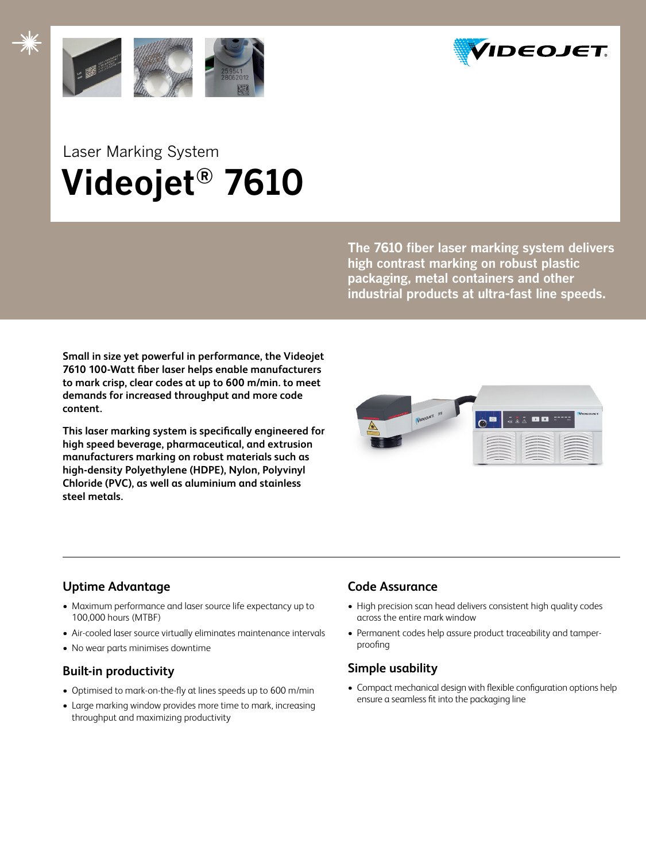



# Laser Marking System  **Videojet® 7610**

**The 7610 fiber laser marking system delivers high contrast marking on robust plastic packaging, metal containers and other industrial products at ultra-fast line speeds.**

**Small in size yet powerful in performance, the Videojet 7610 100-Watt fiber laser helps enable manufacturers to mark crisp, clear codes at up to 600 m/min. to meet demands for increased throughput and more code content.**

**This laser marking system is specifically engineered for high speed beverage, pharmaceutical, and extrusion manufacturers marking on robust materials such as high-density Polyethylene (HDPE), Nylon, Polyvinyl Chloride (PVC), as well as aluminium and stainless steel metals.**



# **Uptime Advantage**

- Maximum performance and laser source life expectancy up to 100,000 hours (MTBF)
- Air-cooled laser source virtually eliminates maintenance intervals
- No wear parts minimises downtime

# **Built-in productivity**

- Optimised to mark-on-the-fly at lines speeds up to 600 m/min
- Large marking window provides more time to mark, increasing throughput and maximizing productivity

# **Code Assurance**

- High precision scan head delivers consistent high quality codes across the entire mark window
- Permanent codes help assure product traceability and tamperproofing

# **Simple usability**

• Compact mechanical design with flexible configuration options help ensure a seamless fit into the packaging line